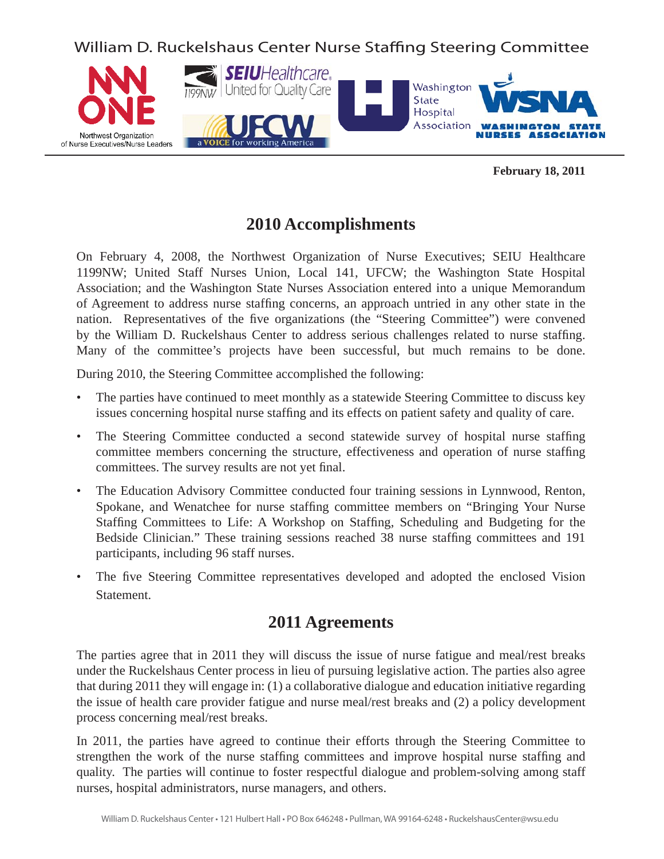William D. Ruckelshaus Center Nurse Staffing Steering Committee



**February 18, 2011**

## **2010 Accomplishments**

On February 4, 2008, the Northwest Organization of Nurse Executives; SEIU Healthcare 1199NW; United Staff Nurses Union, Local 141, UFCW; the Washington State Hospital Association; and the Washington State Nurses Association entered into a unique Memorandum of Agreement to address nurse staffing concerns, an approach untried in any other state in the nation. Representatives of the five organizations (the "Steering Committee") were convened by the William D. Ruckelshaus Center to address serious challenges related to nurse staffing. Many of the committee's projects have been successful, but much remains to be done.

During 2010, the Steering Committee accomplished the following:

- The parties have continued to meet monthly as a statewide Steering Committee to discuss key issues concerning hospital nurse staffing and its effects on patient safety and quality of care.
- The Steering Committee conducted a second statewide survey of hospital nurse staffing committee members concerning the structure, effectiveness and operation of nurse staffing committees. The survey results are not yet final.
- The Education Advisory Committee conducted four training sessions in Lynnwood, Renton, Spokane, and Wenatchee for nurse staffing committee members on "Bringing Your Nurse" Staffing Committees to Life: A Workshop on Staffing, Scheduling and Budgeting for the Bedside Clinician." These training sessions reached 38 nurse staffing committees and 191 participants, including 96 staff nurses.
- The five Steering Committee representatives developed and adopted the enclosed Vision Statement.

## **2011 Agreements**

The parties agree that in 2011 they will discuss the issue of nurse fatigue and meal/rest breaks under the Ruckelshaus Center process in lieu of pursuing legislative action. The parties also agree that during 2011 they will engage in: (1) a collaborative dialogue and education initiative regarding the issue of health care provider fatigue and nurse meal/rest breaks and (2) a policy development process concerning meal/rest breaks.

In 2011, the parties have agreed to continue their efforts through the Steering Committee to strengthen the work of the nurse staffing committees and improve hospital nurse staffing and quality. The parties will continue to foster respectful dialogue and problem-solving among staff nurses, hospital administrators, nurse managers, and others.